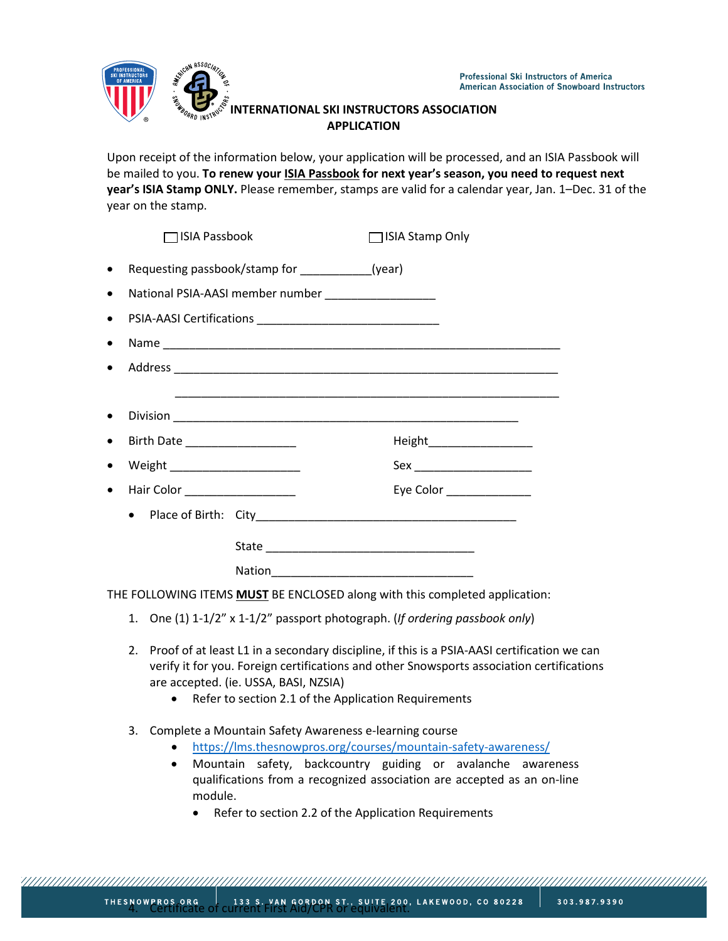

## **INTERNATIONAL SKI INSTRUCTORS ASSOCIATION APPLICATION**

Upon receipt of the information below, your application will be processed, and an ISIA Passbook will be mailed to you. **To renew your ISIA Passbook for next year's season, you need to request next year's ISIA Stamp ONLY.** Please remember, stamps are valid for a calendar year, Jan. 1–Dec. 31 of the year on the stamp.

| 1ISIA Passbook                                  |                                                     | $\Box$ ISIA Stamp Only                                                                                             |  |
|-------------------------------------------------|-----------------------------------------------------|--------------------------------------------------------------------------------------------------------------------|--|
| Requesting passbook/stamp for ___________(year) |                                                     |                                                                                                                    |  |
|                                                 | National PSIA-AASI member number __________________ |                                                                                                                    |  |
|                                                 |                                                     |                                                                                                                    |  |
|                                                 |                                                     |                                                                                                                    |  |
|                                                 |                                                     |                                                                                                                    |  |
|                                                 |                                                     | <u> 2002 - Jan James James James James James James James James James James James James James James James James</u> |  |
|                                                 |                                                     |                                                                                                                    |  |
| Birth Date __________________                   |                                                     | Height____________________                                                                                         |  |
|                                                 |                                                     | Sex __________________________                                                                                     |  |
| Hair Color <b>Markov Report Follows</b>         |                                                     | Eye Color ______________                                                                                           |  |
| $\bullet$                                       |                                                     |                                                                                                                    |  |
|                                                 |                                                     |                                                                                                                    |  |
|                                                 |                                                     |                                                                                                                    |  |
|                                                 |                                                     | Nation 2008 - 2008 - 2010 - 2010 - 2010 - 2021 - 2021 - 2021 - 2022 - 2022 - 2022 - 2022 - 2022 - 2022 - 2022      |  |

THE FOLLOWING ITEMS **MUST** BE ENCLOSED along with this completed application:

- 1. One (1) 1-1/2" x 1-1/2" passport photograph. (*If ordering passbook only*)
- 2. Proof of at least L1 in a secondary discipline, if this is a PSIA-AASI certification we can verify it for you. Foreign certifications and other Snowsports association certifications are accepted. (ie. USSA, BASI, NZSIA)
	- Refer to section 2.1 of the Application Requirements
- 3. Complete a Mountain Safety Awareness e-learning course
	- <https://lms.thesnowpros.org/courses/mountain-safety-awareness/>
	- Mountain safety, backcountry guiding or avalanche awareness qualifications from a recognized association are accepted as an on-line module.
		- Refer to section 2.2 of the Application Requirements